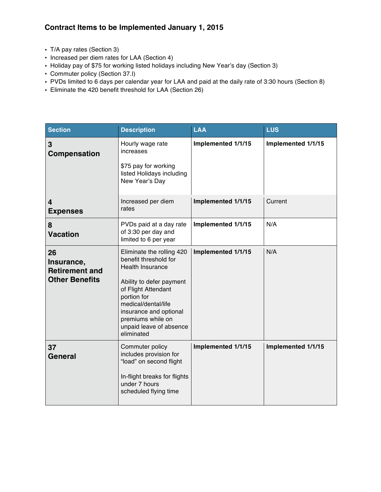- T/A pay rates (Section 3)
- Increased per diem rates for LAA (Section 4)
- Holiday pay of \$75 for working listed holidays including New Year's day (Section 3)
- Commuter policy (Section 37.I)
- PVDs limited to 6 days per calendar year for LAA and paid at the daily rate of 3:30 hours (Section 8)
- Eliminate the 420 benefit threshold for LAA (Section 26)

| <b>Section</b>                                                     | <b>Description</b>                                                                                                                                                                                                                                             | <b>LAA</b>         | <b>LUS</b>         |
|--------------------------------------------------------------------|----------------------------------------------------------------------------------------------------------------------------------------------------------------------------------------------------------------------------------------------------------------|--------------------|--------------------|
| 3<br>Compensation                                                  | Hourly wage rate<br>increases<br>\$75 pay for working<br>listed Holidays including<br>New Year's Day                                                                                                                                                           | Implemented 1/1/15 | Implemented 1/1/15 |
| 4<br><b>Expenses</b>                                               | Increased per diem<br>rates                                                                                                                                                                                                                                    | Implemented 1/1/15 | Current            |
| 8<br><b>Vacation</b>                                               | PVDs paid at a day rate<br>of 3:30 per day and<br>limited to 6 per year                                                                                                                                                                                        | Implemented 1/1/15 | N/A                |
| 26<br>Insurance,<br><b>Retirement and</b><br><b>Other Benefits</b> | Eliminate the rolling 420<br>benefit threshold for<br><b>Health Insurance</b><br>Ability to defer payment<br>of Flight Attendant<br>portion for<br>medical/dental/life<br>insurance and optional<br>premiums while on<br>unpaid leave of absence<br>eliminated | Implemented 1/1/15 | N/A                |
| 37<br>General                                                      | Commuter policy<br>includes provision for<br>"load" on second flight<br>In-flight breaks for flights<br>under 7 hours<br>scheduled flying time                                                                                                                 | Implemented 1/1/15 | Implemented 1/1/15 |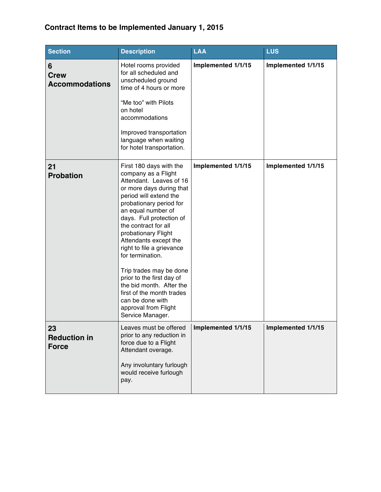| <b>Section</b>                            | <b>Description</b>                                                                                                                                                                                                                                                                                                                                                                            | <b>LAA</b>         | <b>LUS</b>         |
|-------------------------------------------|-----------------------------------------------------------------------------------------------------------------------------------------------------------------------------------------------------------------------------------------------------------------------------------------------------------------------------------------------------------------------------------------------|--------------------|--------------------|
| 6<br><b>Crew</b><br><b>Accommodations</b> | Hotel rooms provided<br>for all scheduled and<br>unscheduled ground<br>time of 4 hours or more<br>"Me too" with Pilots<br>on hotel<br>accommodations<br>Improved transportation<br>language when waiting<br>for hotel transportation.                                                                                                                                                         | Implemented 1/1/15 | Implemented 1/1/15 |
| 21<br><b>Probation</b>                    | First 180 days with the<br>company as a Flight<br>Attendant. Leaves of 16<br>or more days during that<br>period will extend the<br>probationary period for<br>an equal number of<br>days. Full protection of<br>the contract for all<br>probationary Flight<br>Attendants except the<br>right to file a grievance<br>for termination.<br>Trip trades may be done<br>prior to the first day of | Implemented 1/1/15 | Implemented 1/1/15 |
|                                           | the bid month. After the<br>first of the month trades<br>can be done with<br>approval from Flight<br>Service Manager.                                                                                                                                                                                                                                                                         |                    |                    |
| 23<br><b>Reduction in</b><br><b>Force</b> | Leaves must be offered<br>prior to any reduction in<br>force due to a Flight<br>Attendant overage.<br>Any involuntary furlough<br>would receive furlough                                                                                                                                                                                                                                      | Implemented 1/1/15 | Implemented 1/1/15 |
|                                           | pay.                                                                                                                                                                                                                                                                                                                                                                                          |                    |                    |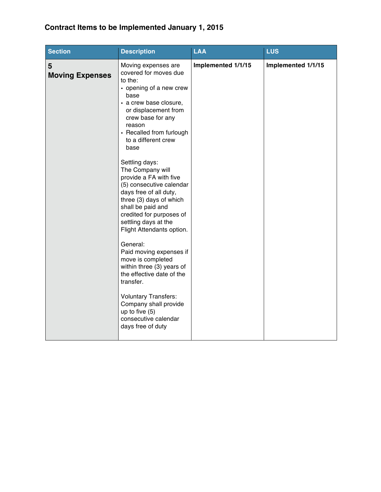| Implemented 1/1/15<br>Implemented 1/1/15<br>Moving expenses are<br>5<br>covered for moves due<br><b>Moving Expenses</b><br>to the:<br>• opening of a new crew<br>base<br>· a crew base closure,                                                                                                                                                                                                                                                                                                                                                                                                                                 | <b>Section</b> | <b>Description</b> | <b>LAA</b> | LUS |
|---------------------------------------------------------------------------------------------------------------------------------------------------------------------------------------------------------------------------------------------------------------------------------------------------------------------------------------------------------------------------------------------------------------------------------------------------------------------------------------------------------------------------------------------------------------------------------------------------------------------------------|----------------|--------------------|------------|-----|
| or displacement from<br>crew base for any<br>reason<br>• Recalled from furlough<br>to a different crew<br>base<br>Settling days:<br>The Company will<br>provide a FA with five<br>(5) consecutive calendar<br>days free of all duty,<br>three (3) days of which<br>shall be paid and<br>credited for purposes of<br>settling days at the<br>Flight Attendants option.<br>General:<br>Paid moving expenses if<br>move is completed<br>within three (3) years of<br>the effective date of the<br>transfer.<br><b>Voluntary Transfers:</b><br>Company shall provide<br>up to five (5)<br>consecutive calendar<br>days free of duty |                |                    |            |     |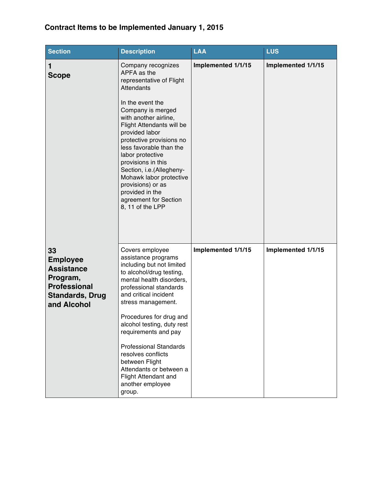| <b>Section</b>                                                                                                         | <b>Description</b>                                                                                                                                                                                                                                                                                                                                                                                                                                     | <b>LAA</b>         | LUS                |
|------------------------------------------------------------------------------------------------------------------------|--------------------------------------------------------------------------------------------------------------------------------------------------------------------------------------------------------------------------------------------------------------------------------------------------------------------------------------------------------------------------------------------------------------------------------------------------------|--------------------|--------------------|
| 1<br><b>Scope</b>                                                                                                      | Company recognizes<br>APFA as the<br>representative of Flight<br>Attendants<br>In the event the<br>Company is merged<br>with another airline,<br>Flight Attendants will be<br>provided labor<br>protective provisions no<br>less favorable than the<br>labor protective<br>provisions in this<br>Section, i.e. (Allegheny-<br>Mohawk labor protective<br>provisions) or as<br>provided in the<br>agreement for Section<br>8, 11 of the LPP             | Implemented 1/1/15 | Implemented 1/1/15 |
| 33<br><b>Employee</b><br><b>Assistance</b><br>Program,<br><b>Professional</b><br><b>Standards, Drug</b><br>and Alcohol | Covers employee<br>assistance programs<br>including but not limited<br>to alcohol/drug testing,<br>mental health disorders,<br>professional standards<br>and critical incident<br>stress management.<br>Procedures for drug and<br>alcohol testing, duty rest<br>requirements and pay<br><b>Professional Standards</b><br>resolves conflicts<br>between Flight<br>Attendants or between a<br><b>Flight Attendant and</b><br>another employee<br>group. | Implemented 1/1/15 | Implemented 1/1/15 |